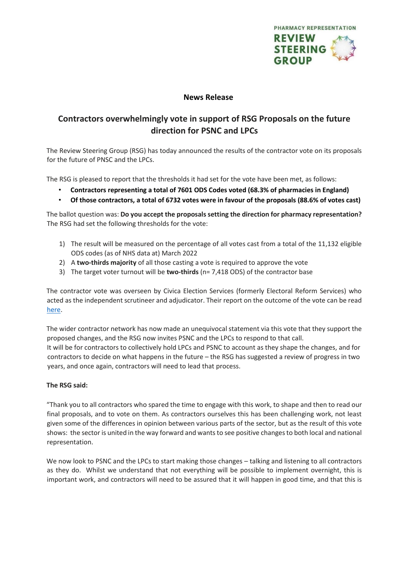

## **News Release**

## **Contractors overwhelmingly vote in support of RSG Proposals on the future direction for PSNC and LPCs**

The Review Steering Group (RSG) has today announced the results of the contractor vote on its proposals for the future of PNSC and the LPCs.

The RSG is pleased to report that the thresholds it had set for the vote have been met, as follows:

- **Contractors representing a total of 7601 ODS Codes voted (68.3% of pharmacies in England)**
- **Of those contractors, a total of 6732 votes were in favour of the proposals (88.6% of votes cast)**

The ballot question was: **Do you accept the proposals setting the direction for pharmacy representation?**  The RSG had set the following thresholds for the vote:

- 1) The result will be measured on the percentage of all votes cast from a total of the 11,132 eligible ODS codes (as of NHS data at) March 2022
- 2) A **two-thirds majority** of all those casting a vote is required to approve the vote
- 3) The target voter turnout will be **two-thirds** (n= 7,418 ODS) of the contractor base

The contractor vote was overseen by Civica Election Services (formerly Electoral Reform Services) who acted as the independent scrutineer and adjudicator. Their report on the outcome of the vote can be read [here.](https://pharmacyreview175657019.files.wordpress.com/2022/06/s1099_3_rsg_odsreport-1.pdf)

The wider contractor network has now made an unequivocal statement via this vote that they support the proposed changes, and the RSG now invites PSNC and the LPCs to respond to that call. It will be for contractors to collectively hold LPCs and PSNC to account as they shape the changes, and for contractors to decide on what happens in the future – the RSG has suggested a review of progress in two years, and once again, contractors will need to lead that process.

## **The RSG said:**

"Thank you to all contractors who spared the time to engage with this work, to shape and then to read our final proposals, and to vote on them. As contractors ourselves this has been challenging work, not least given some of the differences in opinion between various parts of the sector, but as the result of this vote shows: the sector is united in the way forward and wants to see positive changes to both local and national representation.

We now look to PSNC and the LPCs to start making those changes – talking and listening to all contractors as they do. Whilst we understand that not everything will be possible to implement overnight, this is important work, and contractors will need to be assured that it will happen in good time, and that this is